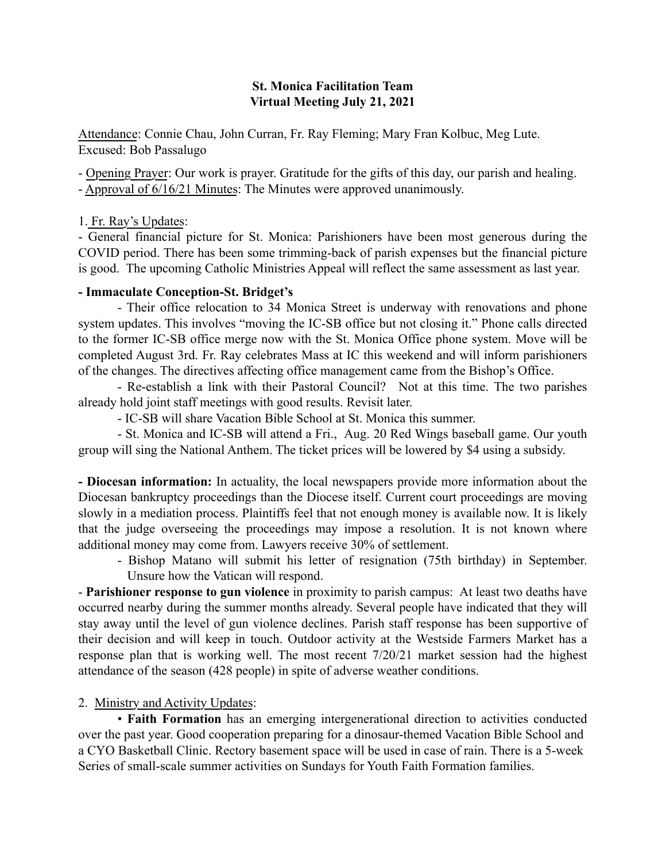#### St. Monica Facilitation Team Virtual Meeting July 21, 2021

Attendance: Connie Chau, John Curran, Fr. Ray Fleming; Mary Fran Kolbuc, Meg Lute. Excused: Bob Passalugo

- Opening Prayer: Our work is prayer. Gratitude for the gifts of this day, our parish and healing. - Approval of 6/16/21 Minutes: The Minutes were approved unanimously.

## 1. Fr. Ray's Updates:

- General financial picture for St. Monica: Parishioners have been most generous during the COVID period. There has been some trimming-back of parish expenses but the financial picture is good. The upcoming Catholic Ministries Appeal will reflect the same assessment as last year.

#### - Immaculate Conception-St. Bridget's

- Their office relocation to 34 Monica Street is underway with renovations and phone system updates. This involves "moving the IC-SB office but not closing it." Phone calls directed to the former IC-SB office merge now with the St. Monica Office phone system. Move will be completed August 3rd. Fr. Ray celebrates Mass at IC this weekend and will inform parishioners of the changes. The directives affecting office management came from the Bishop's Office.

- Re-establish a link with their Pastoral Council? Not at this time. The two parishes already hold joint staff meetings with good results. Revisit later.

- IC-SB will share Vacation Bible School at St. Monica this summer.

- St. Monica and IC-SB will attend a Fri., Aug. 20 Red Wings baseball game. Our youth group will sing the National Anthem. The ticket prices will be lowered by \$4 using a subsidy.

- Diocesan information: In actuality, the local newspapers provide more information about the Diocesan bankruptcy proceedings than the Diocese itself. Current court proceedings are moving slowly in a mediation process. Plaintiffs feel that not enough money is available now. It is likely that the judge overseeing the proceedings may impose a resolution. It is not known where additional money may come from. Lawyers receive 30% of settlement.

- Bishop Matano will submit his letter of resignation (75th birthday) in September. Unsure how the Vatican will respond.

- Parishioner response to gun violence in proximity to parish campus: At least two deaths have occurred nearby during the summer months already. Several people have indicated that they will stay away until the level of gun violence declines. Parish staff response has been supportive of their decision and will keep in touch. Outdoor activity at the Westside Farmers Market has a response plan that is working well. The most recent 7/20/21 market session had the highest attendance of the season (428 people) in spite of adverse weather conditions.

## 2. Ministry and Activity Updates:

• Faith Formation has an emerging intergenerational direction to activities conducted over the past year. Good cooperation preparing for a dinosaur-themed Vacation Bible School and a CYO Basketball Clinic. Rectory basement space will be used in case of rain. There is a 5-week Series of small-scale summer activities on Sundays for Youth Faith Formation families.